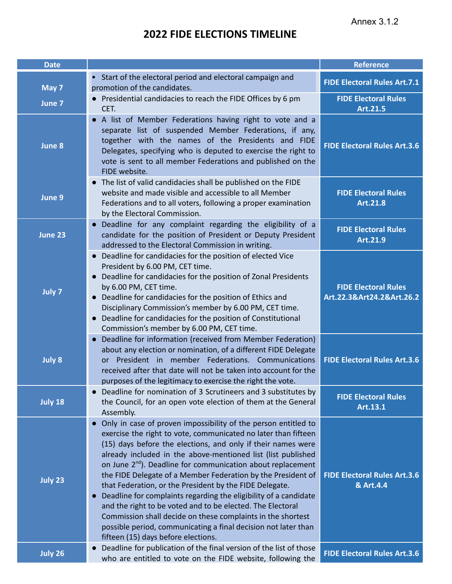| <b>Date</b>    |                                                                                                                                                                                                                                                                                                                                                                                                                                                                                                                                                                                                                                                                                                                                                                                               | <b>Reference</b>                                         |
|----------------|-----------------------------------------------------------------------------------------------------------------------------------------------------------------------------------------------------------------------------------------------------------------------------------------------------------------------------------------------------------------------------------------------------------------------------------------------------------------------------------------------------------------------------------------------------------------------------------------------------------------------------------------------------------------------------------------------------------------------------------------------------------------------------------------------|----------------------------------------------------------|
| May 7          | • Start of the electoral period and electoral campaign and<br>promotion of the candidates.                                                                                                                                                                                                                                                                                                                                                                                                                                                                                                                                                                                                                                                                                                    | <b>FIDE Electoral Rules Art.7.1</b>                      |
| June 7         | Presidential candidacies to reach the FIDE Offices by 6 pm<br>$\bullet$<br>CET.                                                                                                                                                                                                                                                                                                                                                                                                                                                                                                                                                                                                                                                                                                               | <b>FIDE Electoral Rules</b><br>Art.21.5                  |
| June 8         | • A list of Member Federations having right to vote and a<br>separate list of suspended Member Federations, if any,<br>together with the names of the Presidents and FIDE<br>Delegates, specifying who is deputed to exercise the right to<br>vote is sent to all member Federations and published on the<br>FIDE website.                                                                                                                                                                                                                                                                                                                                                                                                                                                                    | <b>FIDE Electoral Rules Art.3.6</b>                      |
| June 9         | • The list of valid candidacies shall be published on the FIDE<br>website and made visible and accessible to all Member<br>Federations and to all voters, following a proper examination<br>by the Electoral Commission.                                                                                                                                                                                                                                                                                                                                                                                                                                                                                                                                                                      | <b>FIDE Electoral Rules</b><br>Art.21.8                  |
| June 23        | Deadline for any complaint regarding the eligibility of a<br>candidate for the position of President or Deputy President<br>addressed to the Electoral Commission in writing.                                                                                                                                                                                                                                                                                                                                                                                                                                                                                                                                                                                                                 | <b>FIDE Electoral Rules</b><br>Art.21.9                  |
| July 7         | Deadline for candidacies for the position of elected Vice<br>President by 6.00 PM, CET time.<br>Deadline for candidacies for the position of Zonal Presidents<br>by 6.00 PM, CET time.<br>• Deadline for candidacies for the position of Ethics and<br>Disciplinary Commission's member by 6.00 PM, CET time.<br>Deadline for candidacies for the position of Constitutional<br>Commission's member by 6.00 PM, CET time.                                                                                                                                                                                                                                                                                                                                                                     | <b>FIDE Electoral Rules</b><br>Art.22.3&Art24.2&Art.26.2 |
| <b>July 8</b>  | Deadline for information (received from Member Federation)<br>about any election or nomination, of a different FIDE Delegate<br>President in member Federations. Communications<br><b>or</b><br>received after that date will not be taken into account for the<br>purposes of the legitimacy to exercise the right the vote.                                                                                                                                                                                                                                                                                                                                                                                                                                                                 | <b>FIDE Electoral Rules Art.3.6</b>                      |
| July 18        | • Deadline for nomination of 3 Scrutineers and 3 substitutes by<br>the Council, for an open vote election of them at the General<br>Assembly.                                                                                                                                                                                                                                                                                                                                                                                                                                                                                                                                                                                                                                                 | <b>FIDE Electoral Rules</b><br>Art.13.1                  |
| July 23        | Only in case of proven impossibility of the person entitled to<br>exercise the right to vote, communicated no later than fifteen<br>(15) days before the elections, and only if their names were<br>already included in the above-mentioned list (list published<br>on June 2 <sup>nd</sup> ). Deadline for communication about replacement<br>the FIDE Delegate of a Member Federation by the President of<br>that Federation, or the President by the FIDE Delegate.<br>Deadline for complaints regarding the eligibility of a candidate<br>$\bullet$<br>and the right to be voted and to be elected. The Electoral<br>Commission shall decide on these complaints in the shortest<br>possible period, communicating a final decision not later than<br>fifteen (15) days before elections. | <b>FIDE Electoral Rules Art.3.6</b><br>& Art.4.4         |
| <b>July 26</b> | Deadline for publication of the final version of the list of those<br>who are entitled to vote on the FIDE website, following the                                                                                                                                                                                                                                                                                                                                                                                                                                                                                                                                                                                                                                                             | <b>FIDE Electoral Rules Art.3.6</b>                      |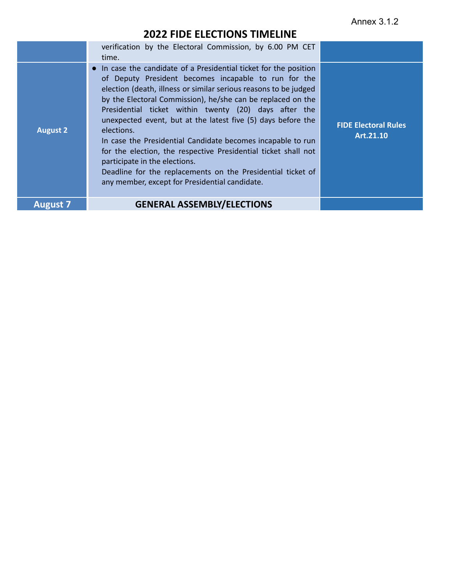| <b>August 2</b> | verification by the Electoral Commission, by 6.00 PM CET<br>time.<br>• In case the candidate of a Presidential ticket for the position<br>of Deputy President becomes incapable to run for the<br>election (death, illness or similar serious reasons to be judged<br>by the Electoral Commission), he/she can be replaced on the<br>Presidential ticket within twenty (20) days after the<br>unexpected event, but at the latest five (5) days before the<br>elections.<br>In case the Presidential Candidate becomes incapable to run<br>for the election, the respective Presidential ticket shall not<br>participate in the elections.<br>Deadline for the replacements on the Presidential ticket of<br>any member, except for Presidential candidate. | <b>FIDE Electoral Rules</b><br>Art.21.10 |
|-----------------|-------------------------------------------------------------------------------------------------------------------------------------------------------------------------------------------------------------------------------------------------------------------------------------------------------------------------------------------------------------------------------------------------------------------------------------------------------------------------------------------------------------------------------------------------------------------------------------------------------------------------------------------------------------------------------------------------------------------------------------------------------------|------------------------------------------|
| <b>August 7</b> | <b>GENERAL ASSEMBLY/ELECTIONS</b>                                                                                                                                                                                                                                                                                                                                                                                                                                                                                                                                                                                                                                                                                                                           |                                          |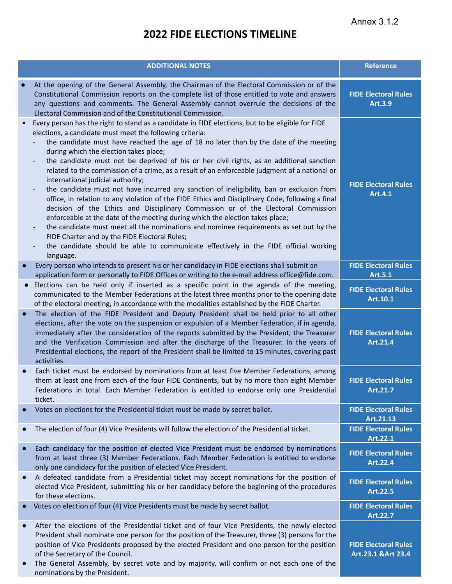|           | <b>ADDITIONAL NOTES</b>                                                                                                                                                                                                                                                                                                                                                                                                                                                                                                                                                                                                                                                                                                                                                                                                                                                                                                                                                                                                                                                                                                                                                                                                | <b>Reference</b>                                   |
|-----------|------------------------------------------------------------------------------------------------------------------------------------------------------------------------------------------------------------------------------------------------------------------------------------------------------------------------------------------------------------------------------------------------------------------------------------------------------------------------------------------------------------------------------------------------------------------------------------------------------------------------------------------------------------------------------------------------------------------------------------------------------------------------------------------------------------------------------------------------------------------------------------------------------------------------------------------------------------------------------------------------------------------------------------------------------------------------------------------------------------------------------------------------------------------------------------------------------------------------|----------------------------------------------------|
|           | At the opening of the General Assembly, the Chairman of the Electoral Commission or of the<br>Constitutional Commission reports on the complete list of those entitled to vote and answers<br>any questions and comments. The General Assembly cannot overrule the decisions of the<br>Electoral Commission and of the Constitutional Commission.                                                                                                                                                                                                                                                                                                                                                                                                                                                                                                                                                                                                                                                                                                                                                                                                                                                                      | <b>FIDE Electoral Rules</b><br><b>Art.3.9</b>      |
|           | Every person has the right to stand as a candidate in FIDE elections, but to be eligible for FIDE<br>elections, a candidate must meet the following criteria:<br>the candidate must have reached the age of 18 no later than by the date of the meeting<br>during which the election takes place;<br>the candidate must not be deprived of his or her civil rights, as an additional sanction<br>$\qquad \qquad \blacksquare$<br>related to the commission of a crime, as a result of an enforceable judgment of a national or<br>international judicial authority;<br>the candidate must not have incurred any sanction of ineligibility, ban or exclusion from<br>$\overline{\phantom{0}}$<br>office, in relation to any violation of the FIDE Ethics and Disciplinary Code, following a final<br>decision of the Ethics and Disciplinary Commission or of the Electoral Commission<br>enforceable at the date of the meeting during which the election takes place;<br>the candidate must meet all the nominations and nominee requirements as set out by the<br>FIDE Charter and by the FIDE Electoral Rules;<br>the candidate should be able to communicate effectively in the FIDE official working<br>language. | <b>FIDE Electoral Rules</b><br>Art.4.1             |
| $\bullet$ | Every person who intends to present his or her candidacy in FIDE elections shall submit an<br>application form or personally to FIDE Offices or writing to the e-mail address office@fide.com.                                                                                                                                                                                                                                                                                                                                                                                                                                                                                                                                                                                                                                                                                                                                                                                                                                                                                                                                                                                                                         | <b>FIDE Electoral Rules</b><br>Art.5.1             |
|           | Elections can be held only if inserted as a specific point in the agenda of the meeting,<br>communicated to the Member Federations at the latest three months prior to the opening date<br>of the electoral meeting, in accordance with the modalities established by the FIDE Charter.                                                                                                                                                                                                                                                                                                                                                                                                                                                                                                                                                                                                                                                                                                                                                                                                                                                                                                                                | <b>FIDE Electoral Rules</b><br>Art.10.1            |
| $\bullet$ | The election of the FIDE President and Deputy President shall be held prior to all other<br>elections, after the vote on the suspension or expulsion of a Member Federation, if in agenda,<br>immediately after the consideration of the reports submitted by the President, the Treasurer<br>and the Verification Commission and after the discharge of the Treasurer. In the years of<br>Presidential elections, the report of the President shall be limited to 15 minutes, covering past<br>activities.                                                                                                                                                                                                                                                                                                                                                                                                                                                                                                                                                                                                                                                                                                            | <b>FIDE Electoral Rules</b><br>Art.21.4            |
| $\bullet$ | Each ticket must be endorsed by nominations from at least five Member Federations, among<br>them at least one from each of the four FIDE Continents, but by no more than eight Member<br>Federations in total. Each Member Federation is entitled to endorse only one Presidential<br>ticket.                                                                                                                                                                                                                                                                                                                                                                                                                                                                                                                                                                                                                                                                                                                                                                                                                                                                                                                          | <b>FIDE Electoral Rules</b><br>Art.21.7            |
|           | Votes on elections for the Presidential ticket must be made by secret ballot.                                                                                                                                                                                                                                                                                                                                                                                                                                                                                                                                                                                                                                                                                                                                                                                                                                                                                                                                                                                                                                                                                                                                          | <b>FIDE Electoral Rules</b><br>Art.21.13           |
| $\bullet$ | The election of four (4) Vice Presidents will follow the election of the Presidential ticket.                                                                                                                                                                                                                                                                                                                                                                                                                                                                                                                                                                                                                                                                                                                                                                                                                                                                                                                                                                                                                                                                                                                          | <b>FIDE Electoral Rules</b><br>Art.22.1            |
| $\bullet$ | Each candidacy for the position of elected Vice President must be endorsed by nominations<br>from at least three (3) Member Federations. Each Member Federation is entitled to endorse<br>only one candidacy for the position of elected Vice President.                                                                                                                                                                                                                                                                                                                                                                                                                                                                                                                                                                                                                                                                                                                                                                                                                                                                                                                                                               | <b>FIDE Electoral Rules</b><br>Art.22.4            |
|           | A defeated candidate from a Presidential ticket may accept nominations for the position of<br>elected Vice President, submitting his or her candidacy before the beginning of the procedures<br>for these elections.                                                                                                                                                                                                                                                                                                                                                                                                                                                                                                                                                                                                                                                                                                                                                                                                                                                                                                                                                                                                   | <b>FIDE Electoral Rules</b><br>Art.22.5            |
|           | Votes on election of four (4) Vice Presidents must be made by secret ballot.                                                                                                                                                                                                                                                                                                                                                                                                                                                                                                                                                                                                                                                                                                                                                                                                                                                                                                                                                                                                                                                                                                                                           | <b>FIDE Electoral Rules</b><br>Art.22.7            |
|           | After the elections of the Presidential ticket and of four Vice Presidents, the newly elected<br>President shall nominate one person for the position of the Treasurer, three (3) persons for the<br>position of Vice Presidents proposed by the elected President and one person for the position<br>of the Secretary of the Council.<br>The General Assembly, by secret vote and by majority, will confirm or not each one of the<br>nominations by the President.                                                                                                                                                                                                                                                                                                                                                                                                                                                                                                                                                                                                                                                                                                                                                   | <b>FIDE Electoral Rules</b><br>Art.23.1 & Art 23.4 |